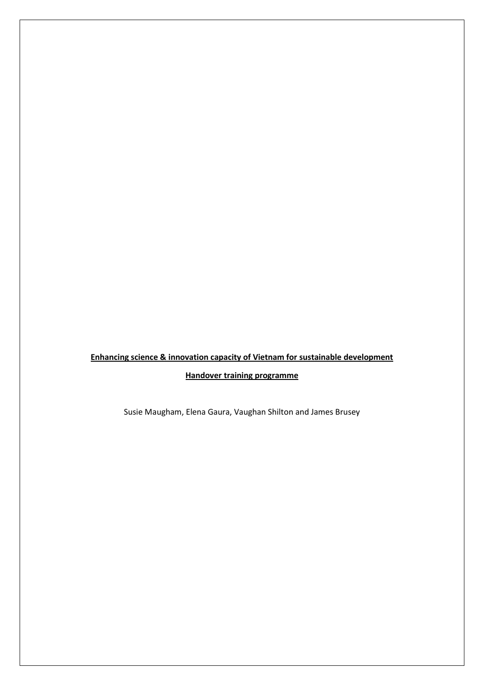# **Enhancing science & innovation capacity of Vietnam for sustainable development**

# **Handover training programme**

Susie Maugham, Elena Gaura, Vaughan Shilton and James Brusey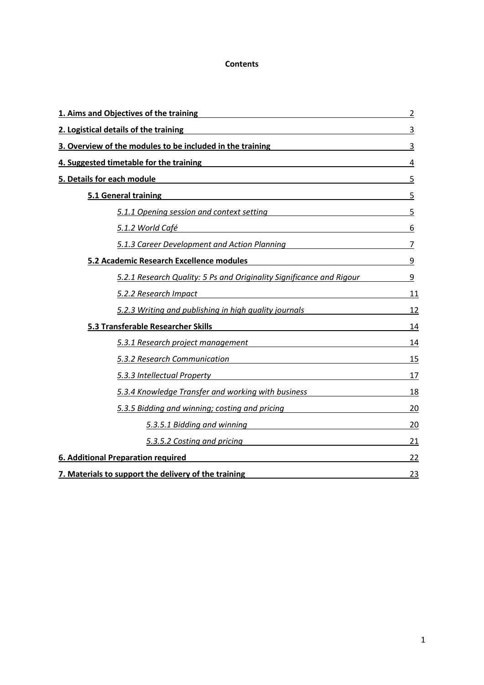#### **Contents**

| 1. Aims and Objectives of the training<br>and the training<br>interaction<br>1. Aims and Objectives of the training                                                                                                                    | $\overline{2}$ |
|----------------------------------------------------------------------------------------------------------------------------------------------------------------------------------------------------------------------------------------|----------------|
| 2. Logistical details of the training <b>Exercise 2. Community and Community</b> and Community and Community and Community and Community and Community and Community and Community and Community and Community and Community and Co    | 3              |
| 3. Overview of the modules to be included in the training<br>3                                                                                                                                                                         |                |
| 4. Suggested timetable for the training<br>and the contract of the contract of the straining<br>Support the contract of the training<br>Support the contract of the training<br>Support the contract of the contract of the contract o | 4              |
| 5. Details for each module entitled and the set of the set of the set of the set of the set of the set of the                                                                                                                          | 5              |
| 5.1 General training and the same control of the state of the state of the state of the state of the state of the state of the state of the state of the state of the state of the state of the state of the state of the stat         | 5              |
| 5.1.1 Opening session and context setting discussions of the setting session and context setting                                                                                                                                       |                |
|                                                                                                                                                                                                                                        | 6              |
| 5.1.3 Career Development and Action Planning                                                                                                                                                                                           | $\overline{7}$ |
| 5.2 Academic Research Excellence modules<br>and the modules<br>San Academic Research Excellence modules                                                                                                                                | 9              |
| 5.2.1 Research Quality: 5 Ps and Originality Significance and Rigour                                                                                                                                                                   | $\overline{9}$ |
| 5.2.2 Research Impact contains the contract of the contract of the contract of the contract of the contract of                                                                                                                         | 11             |
| 5.2.3 Writing and publishing in high quality journals                                                                                                                                                                                  | 12             |
| 5.3 Transferable Researcher Skills                                                                                                                                                                                                     | 14             |
| 5.3.1 Research project management example and service and service and service and service and service and service                                                                                                                      | 14             |
| 5.3.2 Research Communication and the control of the control of the control of the control of the control of th                                                                                                                         | 15             |
| 5.3.3 Intellectual Property and the contract of the contract of the contract of the contract of the contract of                                                                                                                        | 17             |
| 5.3.4 Knowledge Transfer and working with business                                                                                                                                                                                     | 18             |
| 5.3.5 Bidding and winning; costing and pricing                                                                                                                                                                                         | 20             |
| 5.3.5.1 Bidding and winning Same Communications of the Second State Communication of the Second State Communication                                                                                                                    | 20             |
| 5.3.5.2 Costing and pricing example of the state of the state of the state of the state of the state of the state of the state of the state of the state of the state of the state of the state of the state of the state of t         | 21             |
| 6. Additional Preparation required                                                                                                                                                                                                     | 22             |
| 7. Materials to support the delivery of the training                                                                                                                                                                                   | 23             |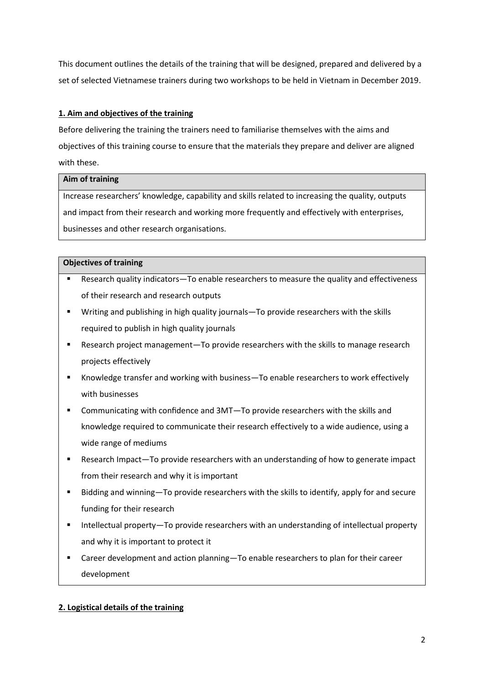This document outlines the details of the training that will be designed, prepared and delivered by a set of selected Vietnamese trainers during two workshops to be held in Vietnam in December 2019.

# **1. Aim and objectives of the training**

Before delivering the training the trainers need to familiarise themselves with the aims and objectives of this training course to ensure that the materials they prepare and deliver are aligned with these.

# **Aim of training**

Increase researchers' knowledge, capability and skills related to increasing the quality, outputs and impact from their research and working more frequently and effectively with enterprises, businesses and other research organisations.

# **Objectives of training**

- Research quality indicators-To enable researchers to measure the quality and effectiveness of their research and research outputs
- Writing and publishing in high quality journals—To provide researchers with the skills required to publish in high quality journals
- Research project management—To provide researchers with the skills to manage research projects effectively
- Knowledge transfer and working with business—To enable researchers to work effectively with businesses
- Communicating with confidence and 3MT—To provide researchers with the skills and knowledge required to communicate their research effectively to a wide audience, using a wide range of mediums
- Research Impact—To provide researchers with an understanding of how to generate impact from their research and why it is important
- Bidding and winning—To provide researchers with the skills to identify, apply for and secure funding for their research
- Intellectual property—To provide researchers with an understanding of intellectual property and why it is important to protect it
- Career development and action planning—To enable researchers to plan for their career development

# **2. Logistical details of the training**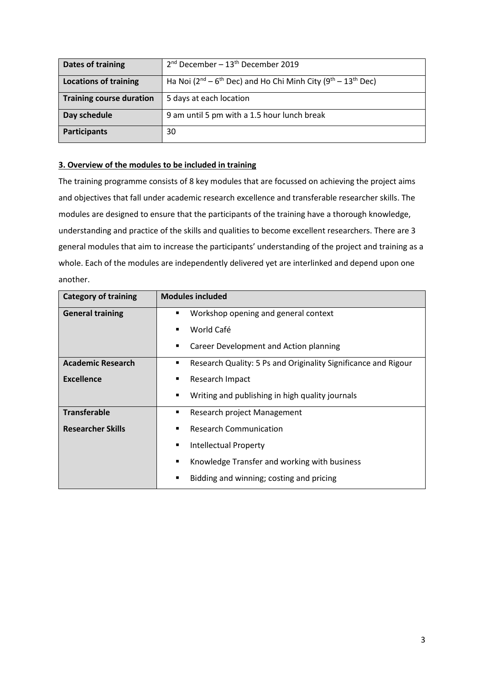| Dates of training               | $2nd$ December – $13th$ December 2019                                        |
|---------------------------------|------------------------------------------------------------------------------|
| <b>Locations of training</b>    | Ha Noi $(2^{nd} - 6^{th}$ Dec) and Ho Chi Minh City $(9^{th} - 13^{th}$ Dec) |
| <b>Training course duration</b> | 5 days at each location                                                      |
| Day schedule                    | 9 am until 5 pm with a 1.5 hour lunch break                                  |
| <b>Participants</b>             | 30                                                                           |

## **3. Overview of the modules to be included in training**

The training programme consists of 8 key modules that are focussed on achieving the project aims and objectives that fall under academic research excellence and transferable researcher skills. The modules are designed to ensure that the participants of the training have a thorough knowledge, understanding and practice of the skills and qualities to become excellent researchers. There are 3 general modules that aim to increase the participants' understanding of the project and training as a whole. Each of the modules are independently delivered yet are interlinked and depend upon one another.

| <b>Category of training</b> | <b>Modules included</b>                                             |
|-----------------------------|---------------------------------------------------------------------|
| <b>General training</b>     | Workshop opening and general context<br>٠                           |
|                             | World Café<br>٠                                                     |
|                             | Career Development and Action planning<br>٠                         |
| <b>Academic Research</b>    | Research Quality: 5 Ps and Originality Significance and Rigour<br>٠ |
| <b>Excellence</b>           | Research Impact<br>٠                                                |
|                             | Writing and publishing in high quality journals<br>٠                |
| <b>Transferable</b>         | Research project Management<br>٠                                    |
| <b>Researcher Skills</b>    | <b>Research Communication</b><br>٠                                  |
|                             | <b>Intellectual Property</b><br>٠                                   |
|                             | Knowledge Transfer and working with business<br>٠                   |
|                             | Bidding and winning; costing and pricing<br>٠                       |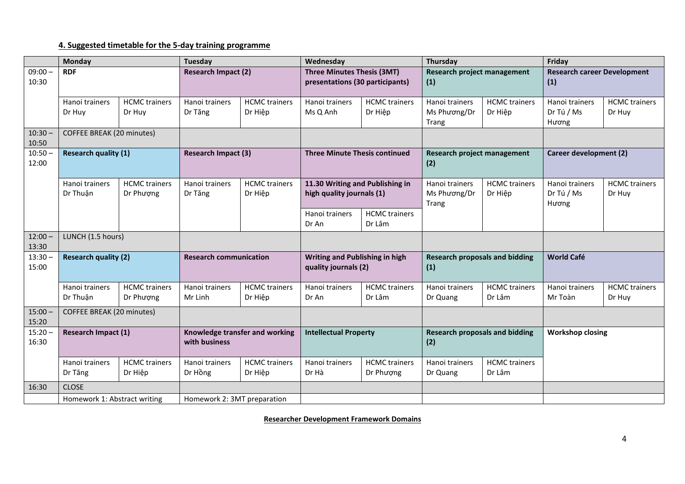# **4. Suggested timetable for the 5-day training programme**

|                    | <b>Monday</b>                |                                   | <b>Tuesday</b>                                  |                                 | Wednesday                                                            |                                   | Thursday                                     |                                 | Friday                                |                                |                                           |  |
|--------------------|------------------------------|-----------------------------------|-------------------------------------------------|---------------------------------|----------------------------------------------------------------------|-----------------------------------|----------------------------------------------|---------------------------------|---------------------------------------|--------------------------------|-------------------------------------------|--|
| $09:00 -$<br>10:30 | <b>RDF</b>                   |                                   | <b>Research Impact (2)</b>                      |                                 | <b>Three Minutes Thesis (3MT)</b><br>presentations (30 participants) |                                   |                                              |                                 | Research project management<br>(1)    |                                | <b>Research career Development</b><br>(1) |  |
|                    | Hanoi trainers<br>Dr Huy     | <b>HCMC</b> trainers<br>Dr Huy    | Hanoi trainers<br>Dr Tăng                       | <b>HCMC</b> trainers<br>Dr Hiệp | Hanoi trainers<br>Ms Q Anh                                           | <b>HCMC</b> trainers<br>Dr Hiệp   | Hanoi trainers<br>Ms Phương/Dr<br>Trang      | <b>HCMC</b> trainers<br>Dr Hiệp | Hanoi trainers<br>Dr Tú / Ms<br>Hương | <b>HCMC</b> trainers<br>Dr Huy |                                           |  |
| $10:30 -$<br>10:50 | COFFEE BREAK (20 minutes)    |                                   |                                                 |                                 |                                                                      |                                   |                                              |                                 |                                       |                                |                                           |  |
| $10:50 -$<br>12:00 | <b>Research quality (1)</b>  |                                   | <b>Research Impact (3)</b>                      |                                 | <b>Three Minute Thesis continued</b>                                 |                                   | Research project management<br>(2)           |                                 | Career development (2)                |                                |                                           |  |
|                    | Hanoi trainers<br>Dr Thuận   | <b>HCMC</b> trainers<br>Dr Phượng | Hanoi trainers<br>Dr Tăng                       | <b>HCMC</b> trainers<br>Dr Hiệp | 11.30 Writing and Publishing in<br>high quality journals (1)         |                                   | Hanoi trainers<br>Ms Phương/Dr<br>Trang      | <b>HCMC</b> trainers<br>Dr Hiệp | Hanoi trainers<br>Dr Tú / Ms<br>Hương | <b>HCMC</b> trainers<br>Dr Huy |                                           |  |
|                    |                              |                                   |                                                 |                                 | Hanoi trainers<br>Dr An                                              | <b>HCMC</b> trainers<br>Dr Lâm    |                                              |                                 |                                       |                                |                                           |  |
| $12:00 -$<br>13:30 | LUNCH (1.5 hours)            |                                   |                                                 |                                 |                                                                      |                                   |                                              |                                 |                                       |                                |                                           |  |
| $13:30 -$<br>15:00 | <b>Research quality (2)</b>  |                                   | <b>Research communication</b>                   |                                 | Writing and Publishing in high<br>quality journals (2)               |                                   | <b>Research proposals and bidding</b><br>(1) |                                 | <b>World Café</b>                     |                                |                                           |  |
|                    | Hanoi trainers<br>Dr Thuận   | <b>HCMC</b> trainers<br>Dr Phượng | Hanoi trainers<br>Mr Linh                       | <b>HCMC</b> trainers<br>Dr Hiệp | Hanoi trainers<br>Dr An                                              | <b>HCMC</b> trainers<br>Dr Lâm    | Hanoi trainers<br>Dr Quang                   | <b>HCMC</b> trainers<br>Dr Lâm  | Hanoi trainers<br>Mr Toàn             | <b>HCMC</b> trainers<br>Dr Huy |                                           |  |
| $15:00 -$<br>15:20 | COFFEE BREAK (20 minutes)    |                                   |                                                 |                                 |                                                                      |                                   |                                              |                                 |                                       |                                |                                           |  |
| $15:20 -$<br>16:30 | Research Impact (1)          |                                   | Knowledge transfer and working<br>with business |                                 | <b>Intellectual Property</b>                                         |                                   | <b>Research proposals and bidding</b><br>(2) |                                 | <b>Workshop closing</b>               |                                |                                           |  |
|                    | Hanoi trainers<br>Dr Tăng    | <b>HCMC</b> trainers<br>Dr Hiệp   | Hanoi trainers<br>Dr Hồng                       | <b>HCMC</b> trainers<br>Dr Hiệp | Hanoi trainers<br>Dr Hà                                              | <b>HCMC</b> trainers<br>Dr Phượng | Hanoi trainers<br>Dr Quang                   | <b>HCMC</b> trainers<br>Dr Lâm  |                                       |                                |                                           |  |
| 16:30              | <b>CLOSE</b>                 |                                   |                                                 |                                 |                                                                      |                                   |                                              |                                 |                                       |                                |                                           |  |
|                    | Homework 1: Abstract writing |                                   | Homework 2: 3MT preparation                     |                                 |                                                                      |                                   |                                              |                                 |                                       |                                |                                           |  |

**Researcher Development Framework Domains**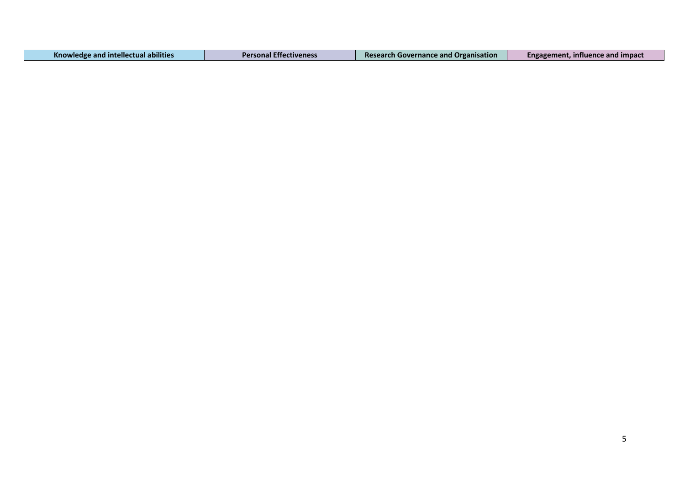| <b>Knowledge and intellectual abilities</b> | <b>Personal Effectiveness</b> | <b>Research Governance and Organisation</b> | Engagement, influence and impact |
|---------------------------------------------|-------------------------------|---------------------------------------------|----------------------------------|
|---------------------------------------------|-------------------------------|---------------------------------------------|----------------------------------|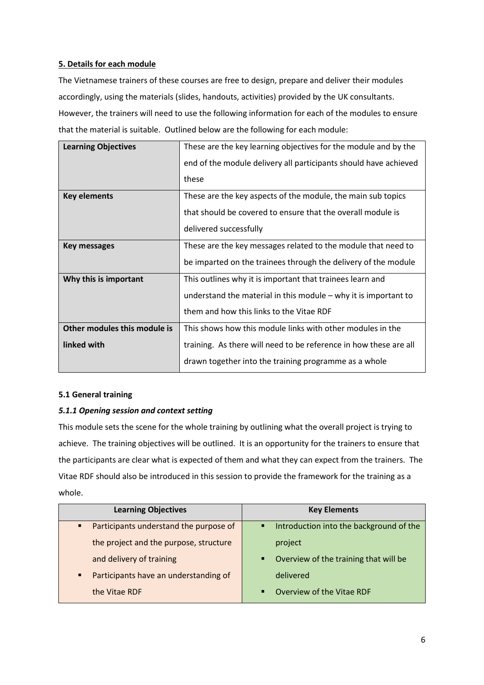# **5. Details for each module**

The Vietnamese trainers of these courses are free to design, prepare and deliver their modules accordingly, using the materials (slides, handouts, activities) provided by the UK consultants. However, the trainers will need to use the following information for each of the modules to ensure that the material is suitable. Outlined below are the following for each module:

| <b>Learning Objectives</b>   | These are the key learning objectives for the module and by the   |
|------------------------------|-------------------------------------------------------------------|
|                              | end of the module delivery all participants should have achieved  |
|                              | these                                                             |
| <b>Key elements</b>          | These are the key aspects of the module, the main sub topics      |
|                              | that should be covered to ensure that the overall module is       |
|                              | delivered successfully                                            |
| <b>Key messages</b>          | These are the key messages related to the module that need to     |
|                              | be imparted on the trainees through the delivery of the module    |
| Why this is important        | This outlines why it is important that trainees learn and         |
|                              | understand the material in this module $-$ why it is important to |
|                              | them and how this links to the Vitae RDF                          |
| Other modules this module is | This shows how this module links with other modules in the        |
| linked with                  | training. As there will need to be reference in how these are all |
|                              | drawn together into the training programme as a whole             |

#### **5.1 General training**

# *5.1.1 Opening session and context setting*

This module sets the scene for the whole training by outlining what the overall project is trying to achieve. The training objectives will be outlined. It is an opportunity for the trainers to ensure that the participants are clear what is expected of them and what they can expect from the trainers. The Vitae RDF should also be introduced in this session to provide the framework for the training as a whole.

| <b>Learning Objectives</b>                               | <b>Key Elements</b>                          |
|----------------------------------------------------------|----------------------------------------------|
| Participants understand the purpose of<br>$\blacksquare$ | Introduction into the background of the<br>٠ |
| the project and the purpose, structure                   | project                                      |
| and delivery of training                                 | Overview of the training that will be<br>٠   |
| Participants have an understanding of<br>٠               | delivered                                    |
| the Vitae RDF                                            | Overview of the Vitae RDF<br>п               |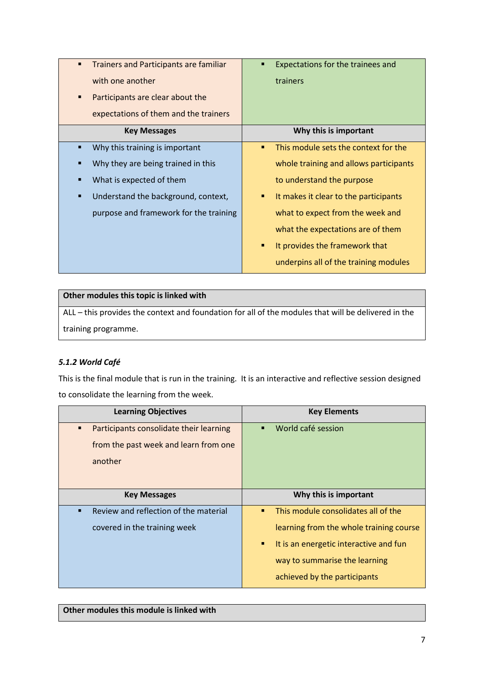| <b>Trainers and Participants are familiar</b><br>$\blacksquare$<br>with one another<br>Participants are clear about the<br>■<br>expectations of them and the trainers | Expectations for the trainees and<br>trainers |
|-----------------------------------------------------------------------------------------------------------------------------------------------------------------------|-----------------------------------------------|
| <b>Key Messages</b>                                                                                                                                                   | Why this is important                         |
| Why this training is important                                                                                                                                        | This module sets the context for the<br>п     |
| Why they are being trained in this                                                                                                                                    | whole training and allows participants        |
| What is expected of them                                                                                                                                              | to understand the purpose                     |
| Understand the background, context,                                                                                                                                   | It makes it clear to the participants<br>٠    |
| purpose and framework for the training                                                                                                                                | what to expect from the week and              |
|                                                                                                                                                                       | what the expectations are of them             |
|                                                                                                                                                                       | It provides the framework that<br>٠           |
|                                                                                                                                                                       | underpins all of the training modules         |

| Other modules this topic is linked with                                                             |
|-----------------------------------------------------------------------------------------------------|
| ALL – this provides the context and foundation for all of the modules that will be delivered in the |
| training programme.                                                                                 |

# *5.1.2 World Café*

This is the final module that is run in the training. It is an interactive and reflective session designed to consolidate the learning from the week.

| <b>Learning Objectives</b>                                | <b>Key Elements</b>                         |
|-----------------------------------------------------------|---------------------------------------------|
| Participants consolidate their learning<br>$\blacksquare$ | World café session<br>п                     |
| from the past week and learn from one                     |                                             |
| another                                                   |                                             |
|                                                           |                                             |
| <b>Key Messages</b>                                       | Why this is important                       |
| Review and reflection of the material                     | This module consolidates all of the<br>п    |
| covered in the training week                              | learning from the whole training course     |
|                                                           | It is an energetic interactive and fun<br>п |
|                                                           | way to summarise the learning               |
|                                                           | achieved by the participants                |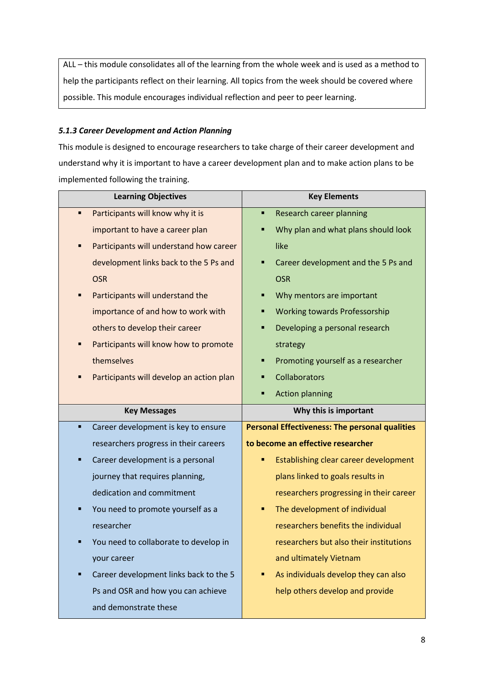ALL – this module consolidates all of the learning from the whole week and is used as a method to help the participants reflect on their learning. All topics from the week should be covered where possible. This module encourages individual reflection and peer to peer learning.

#### *5.1.3 Career Development and Action Planning*

This module is designed to encourage researchers to take charge of their career development and understand why it is important to have a career development plan and to make action plans to be implemented following the training.

| <b>Learning Objectives</b>                   | <b>Key Elements</b>                                   |
|----------------------------------------------|-------------------------------------------------------|
| Participants will know why it is<br>п        | <b>Research career planning</b><br>п                  |
| important to have a career plan              | Why plan and what plans should look                   |
| Participants will understand how career<br>٠ | like                                                  |
| development links back to the 5 Ps and       | Career development and the 5 Ps and<br>٠              |
| <b>OSR</b>                                   | <b>OSR</b>                                            |
| Participants will understand the<br>٠        | Why mentors are important                             |
| importance of and how to work with           | <b>Working towards Professorship</b><br>٠             |
| others to develop their career               | Developing a personal research<br>٠                   |
| Participants will know how to promote        | strategy                                              |
| themselves                                   | Promoting yourself as a researcher<br>п               |
| Participants will develop an action plan     | Collaborators                                         |
|                                              | <b>Action planning</b>                                |
|                                              |                                                       |
| <b>Key Messages</b>                          | Why this is important                                 |
| Career development is key to ensure<br>×,    | <b>Personal Effectiveness: The personal qualities</b> |
| researchers progress in their careers        | to become an effective researcher                     |
| Career development is a personal<br>٠        | Establishing clear career development                 |
| journey that requires planning,              | plans linked to goals results in                      |
| dedication and commitment                    | researchers progressing in their career               |
| You need to promote yourself as a<br>п       | The development of individual<br>٠                    |
| researcher                                   | researchers benefits the individual                   |
| You need to collaborate to develop in        | researchers but also their institutions               |
| your career                                  | and ultimately Vietnam                                |
| Career development links back to the 5       | As individuals develop they can also                  |
| Ps and OSR and how you can achieve           | help others develop and provide                       |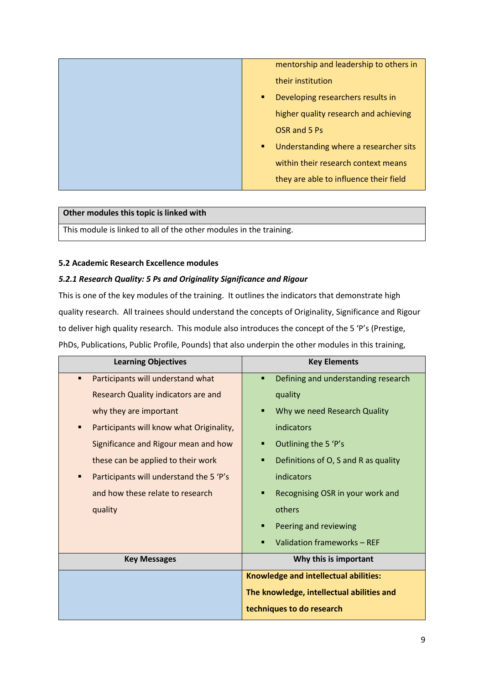| mentorship and leadership to others in     |
|--------------------------------------------|
| their institution                          |
| Developing researchers results in<br>٠     |
| higher quality research and achieving      |
| OSR and 5 Ps                               |
| Understanding where a researcher sits<br>٠ |
| within their research context means        |
| they are able to influence their field     |

# **Other modules this topic is linked with**

This module is linked to all of the other modules in the training.

## **5.2 Academic Research Excellence modules**

## *5.2.1 Research Quality: 5 Ps and Originality Significance and Rigour*

This is one of the key modules of the training. It outlines the indicators that demonstrate high quality research. All trainees should understand the concepts of Originality, Significance and Rigour to deliver high quality research. This module also introduces the concept of the 5 'P's (Prestige, PhDs, Publications, Public Profile, Pounds) that also underpin the other modules in this training,

| <b>Learning Objectives</b>                    | <b>Key Elements</b>                       |
|-----------------------------------------------|-------------------------------------------|
| Participants will understand what<br>٠        | Defining and understanding research<br>п  |
| Research Quality indicators are and           | quality                                   |
| why they are important                        | Why we need Research Quality<br>п         |
| Participants will know what Originality,<br>п | indicators                                |
| Significance and Rigour mean and how          | Outlining the 5 'P's<br>п                 |
| these can be applied to their work            | Definitions of O, S and R as quality<br>п |
| Participants will understand the 5 'P's       | indicators                                |
| and how these relate to research              | Recognising OSR in your work and          |
| quality                                       | others                                    |
|                                               | Peering and reviewing<br>п                |
|                                               | Validation frameworks - REF               |
| <b>Key Messages</b>                           | Why this is important                     |
|                                               | Knowledge and intellectual abilities:     |
|                                               | The knowledge, intellectual abilities and |
|                                               | techniques to do research                 |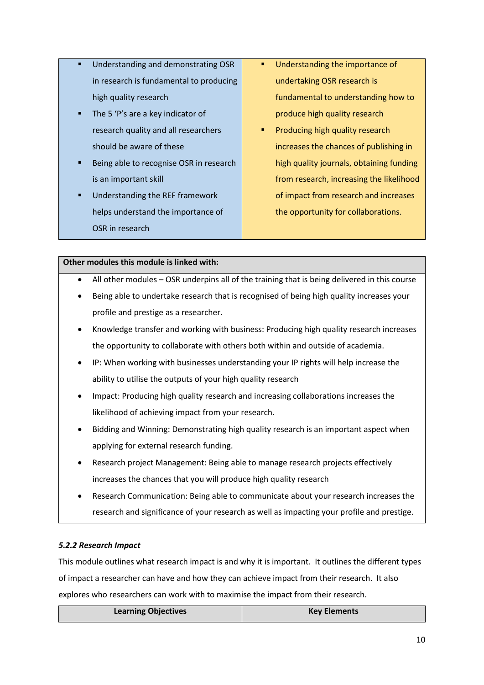- Understanding and demonstrating OSR in research is fundamental to producing high quality research
- The 5 'P's are a key indicator of research quality and all researchers should be aware of these
- Being able to recognise OSR in research is an important skill
- Understanding the REF framework helps understand the importance of OSR in research
- Understanding the importance of undertaking OSR research is fundamental to understanding how to produce high quality research
- Producing high quality research increases the chances of publishing in high quality journals, obtaining funding from research, increasing the likelihood of impact from research and increases the opportunity for collaborations.

- All other modules OSR underpins all of the training that is being delivered in this course
- Being able to undertake research that is recognised of being high quality increases your profile and prestige as a researcher.
- Knowledge transfer and working with business: Producing high quality research increases the opportunity to collaborate with others both within and outside of academia.
- IP: When working with businesses understanding your IP rights will help increase the ability to utilise the outputs of your high quality research
- Impact: Producing high quality research and increasing collaborations increases the likelihood of achieving impact from your research.
- Bidding and Winning: Demonstrating high quality research is an important aspect when applying for external research funding.
- Research project Management: Being able to manage research projects effectively increases the chances that you will produce high quality research
- Research Communication: Being able to communicate about your research increases the research and significance of your research as well as impacting your profile and prestige.

# *5.2.2 Research Impact*

This module outlines what research impact is and why it is important. It outlines the different types of impact a researcher can have and how they can achieve impact from their research. It also explores who researchers can work with to maximise the impact from their research.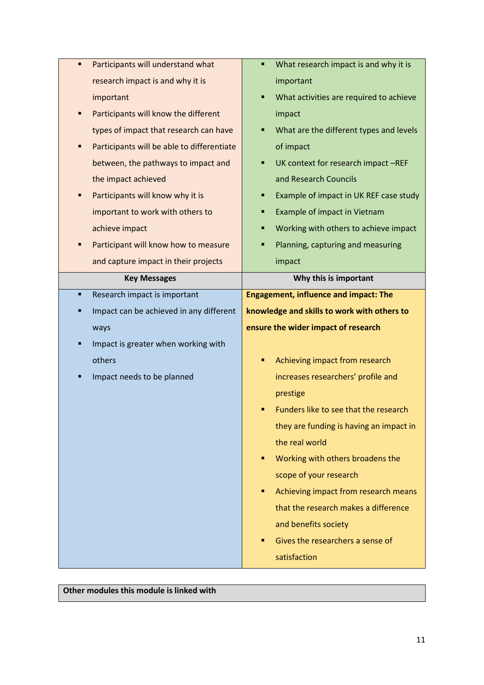| Participants will understand what<br>٠          | What research impact is and why it is<br>п   |
|-------------------------------------------------|----------------------------------------------|
| research impact is and why it is                | important                                    |
| important                                       | What activities are required to achieve<br>п |
| Participants will know the different            | impact                                       |
| types of impact that research can have          | What are the different types and levels      |
| Participants will be able to differentiate<br>Ξ | of impact                                    |
| between, the pathways to impact and             | UK context for research impact -REF          |
| the impact achieved                             | and Research Councils                        |
| Participants will know why it is<br>Ξ           | Example of impact in UK REF case study       |
| important to work with others to                | Example of impact in Vietnam                 |
| achieve impact                                  | Working with others to achieve impact<br>п   |
| Participant will know how to measure<br>■       | Planning, capturing and measuring            |
| and capture impact in their projects            | impact                                       |
| <b>Key Messages</b>                             | Why this is important                        |
| Research impact is important<br>٠               | <b>Engagement, influence and impact: The</b> |
| Impact can be achieved in any different         | knowledge and skills to work with others to  |
| ways                                            | ensure the wider impact of research          |
| Impact is greater when working with<br>Ξ        |                                              |
| others                                          | Achieving impact from research               |
| Impact needs to be planned                      | increases researchers' profile and           |
|                                                 | prestige                                     |
|                                                 | Funders like to see that the research        |
|                                                 | they are funding is having an impact in      |
|                                                 | the real world                               |
|                                                 | Working with others broadens the<br>п        |
|                                                 | scope of your research                       |
|                                                 | Achieving impact from research means<br>٠    |
|                                                 | that the research makes a difference         |
|                                                 | and benefits society                         |
|                                                 | Gives the researchers a sense of<br>п        |
|                                                 | satisfaction                                 |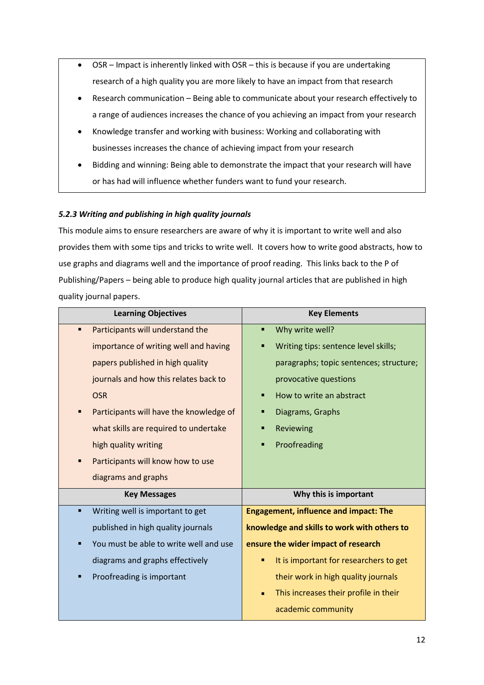- OSR Impact is inherently linked with OSR this is because if you are undertaking research of a high quality you are more likely to have an impact from that research
- Research communication Being able to communicate about your research effectively to a range of audiences increases the chance of you achieving an impact from your research
- Knowledge transfer and working with business: Working and collaborating with businesses increases the chance of achieving impact from your research
- Bidding and winning: Being able to demonstrate the impact that your research will have or has had will influence whether funders want to fund your research.

# *5.2.3 Writing and publishing in high quality journals*

This module aims to ensure researchers are aware of why it is important to write well and also provides them with some tips and tricks to write well. It covers how to write good abstracts, how to use graphs and diagrams well and the importance of proof reading. This links back to the P of Publishing/Papers – being able to produce high quality journal articles that are published in high quality journal papers.

| <b>Learning Objectives</b>              | <b>Key Elements</b>                                     |
|-----------------------------------------|---------------------------------------------------------|
| Participants will understand the<br>п   | Why write well?<br>٠                                    |
| importance of writing well and having   | Writing tips: sentence level skills;                    |
| papers published in high quality        | paragraphs; topic sentences; structure;                 |
| journals and how this relates back to   | provocative questions                                   |
| <b>OSR</b>                              | How to write an abstract                                |
| Participants will have the knowledge of | Diagrams, Graphs                                        |
| what skills are required to undertake   | Reviewing                                               |
| high quality writing                    | Proofreading                                            |
| Participants will know how to use       |                                                         |
| diagrams and graphs                     |                                                         |
| <b>Key Messages</b>                     | Why this is important                                   |
| Writing well is important to get        | <b>Engagement, influence and impact: The</b>            |
| published in high quality journals      | knowledge and skills to work with others to             |
| You must be able to write well and use  | ensure the wider impact of research                     |
| diagrams and graphs effectively         | It is important for researchers to get                  |
| Proofreading is important<br>п          | their work in high quality journals                     |
|                                         | This increases their profile in their<br>$\blacksquare$ |
|                                         | academic community                                      |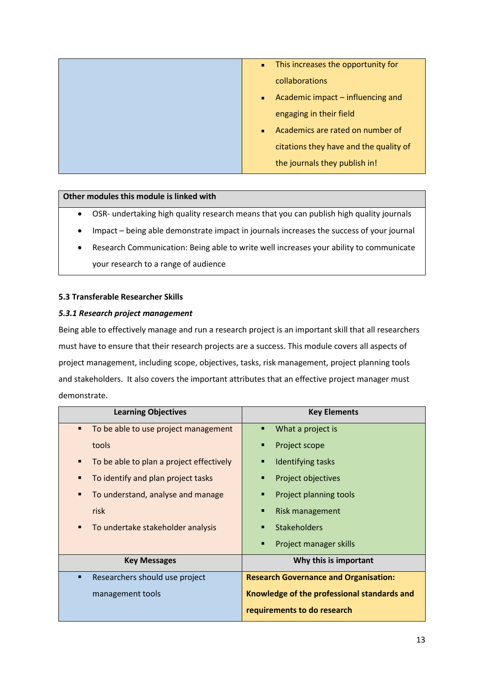| This increases the opportunity for<br>$\blacksquare$ |
|------------------------------------------------------|
| collaborations                                       |
| Academic impact – influencing and<br>$\blacksquare$  |
| engaging in their field                              |
| Academics are rated on number of                     |
| citations they have and the quality of               |
| the journals they publish in!                        |
|                                                      |

- OSR- undertaking high quality research means that you can publish high quality journals
- Impact being able demonstrate impact in journals increases the success of your journal
- Research Communication: Being able to write well increases your ability to communicate your research to a range of audience

# **5.3 Transferable Researcher Skills**

#### *5.3.1 Research project management*

Being able to effectively manage and run a research project is an important skill that all researchers must have to ensure that their research projects are a success. This module covers all aspects of project management, including scope, objectives, tasks, risk management, project planning tools and stakeholders. It also covers the important attributes that an effective project manager must demonstrate.

| <b>Learning Objectives</b>                | <b>Key Elements</b>                          |
|-------------------------------------------|----------------------------------------------|
| To be able to use project management<br>٠ | What a project is<br>٠                       |
| tools                                     | Project scope<br>■                           |
| To be able to plan a project effectively  | Identifying tasks                            |
| To identify and plan project tasks        | Project objectives<br>■                      |
| To understand, analyse and manage         | Project planning tools                       |
| risk                                      | Risk management<br>п                         |
| To undertake stakeholder analysis         | <b>Stakeholders</b><br>п                     |
|                                           | Project manager skills<br>п                  |
| <b>Key Messages</b>                       | Why this is important                        |
| Researchers should use project<br>п       | <b>Research Governance and Organisation:</b> |
| management tools                          | Knowledge of the professional standards and  |
|                                           | requirements to do research                  |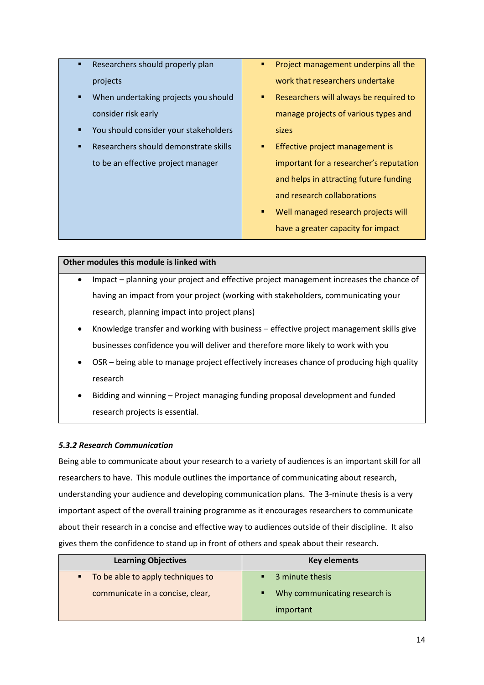- Researchers should properly plan projects
- When undertaking projects you should consider risk early
- You should consider your stakeholders
- Researchers should demonstrate skills to be an effective project manager
- **•** Project management underpins all the work that researchers undertake
- Researchers will always be required to manage projects of various types and sizes
- **Effective project management is** important for a researcher's reputation and helps in attracting future funding and research collaborations
- Well managed research projects will have a greater capacity for impact

- Impact planning your project and effective project management increases the chance of having an impact from your project (working with stakeholders, communicating your research, planning impact into project plans)
- Knowledge transfer and working with business effective project management skills give businesses confidence you will deliver and therefore more likely to work with you
- OSR being able to manage project effectively increases chance of producing high quality research
- Bidding and winning Project managing funding proposal development and funded research projects is essential.

# *5.3.2 Research Communication*

Being able to communicate about your research to a variety of audiences is an important skill for all researchers to have. This module outlines the importance of communicating about research, understanding your audience and developing communication plans. The 3-minute thesis is a very important aspect of the overall training programme as it encourages researchers to communicate about their research in a concise and effective way to audiences outside of their discipline. It also gives them the confidence to stand up in front of others and speak about their research.

| <b>Learning Objectives</b>                                              | <b>Key elements</b>                                |
|-------------------------------------------------------------------------|----------------------------------------------------|
| • To be able to apply techniques to<br>communicate in a concise, clear, | • 3 minute thesis<br>Why communicating research is |
|                                                                         | important                                          |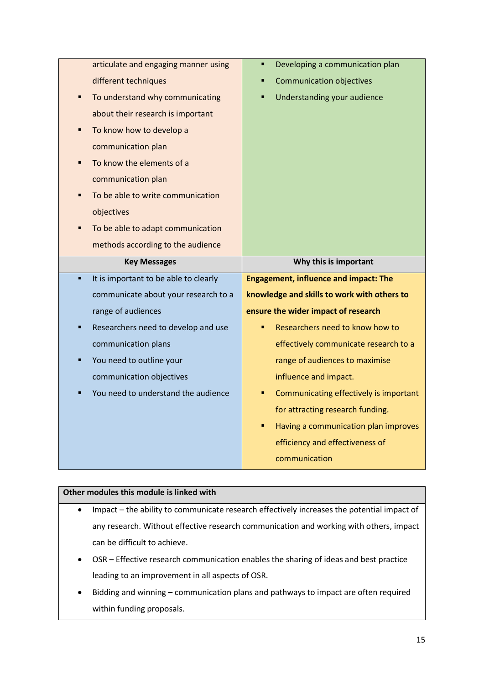|    | articulate and engaging manner using  | Developing a communication plan<br>٠         |
|----|---------------------------------------|----------------------------------------------|
|    | different techniques                  | <b>Communication objectives</b>              |
|    | To understand why communicating       | Understanding your audience<br>Ξ             |
|    | about their research is important     |                                              |
|    | To know how to develop a              |                                              |
|    | communication plan                    |                                              |
|    | To know the elements of a             |                                              |
|    | communication plan                    |                                              |
|    | To be able to write communication     |                                              |
|    | objectives                            |                                              |
|    | To be able to adapt communication     |                                              |
|    | methods according to the audience     |                                              |
|    |                                       |                                              |
|    | <b>Key Messages</b>                   | Why this is important                        |
| ×, | It is important to be able to clearly | <b>Engagement, influence and impact: The</b> |
|    | communicate about your research to a  | knowledge and skills to work with others to  |
|    | range of audiences                    | ensure the wider impact of research          |
| п  | Researchers need to develop and use   | Researchers need to know how to              |
|    | communication plans                   | effectively communicate research to a        |
| п  | You need to outline your              | range of audiences to maximise               |
|    | communication objectives              | influence and impact.                        |
|    | You need to understand the audience   | Communicating effectively is important<br>٠  |
|    |                                       | for attracting research funding.             |
|    |                                       | Having a communication plan improves<br>٠    |
|    |                                       | efficiency and effectiveness of              |

- Impact the ability to communicate research effectively increases the potential impact of any research. Without effective research communication and working with others, impact can be difficult to achieve.
- OSR Effective research communication enables the sharing of ideas and best practice leading to an improvement in all aspects of OSR.
- Bidding and winning communication plans and pathways to impact are often required within funding proposals.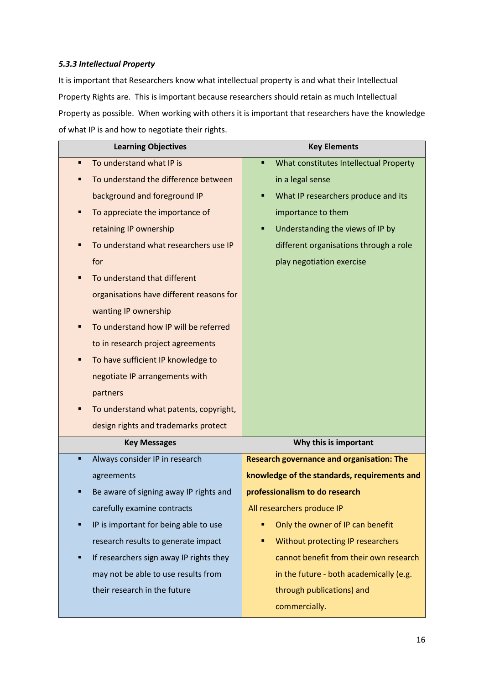## *5.3.3 Intellectual Property*

It is important that Researchers know what intellectual property is and what their Intellectual Property Rights are. This is important because researchers should retain as much Intellectual Property as possible. When working with others it is important that researchers have the knowledge of what IP is and how to negotiate their rights.

| <b>Learning Objectives</b>                   | <b>Key Elements</b>                              |
|----------------------------------------------|--------------------------------------------------|
| To understand what IP is<br>٠                | What constitutes Intellectual Property<br>п      |
| To understand the difference between<br>Ξ    | in a legal sense                                 |
| background and foreground IP                 | What IP researchers produce and its<br>Ξ         |
| To appreciate the importance of<br>٠         | importance to them                               |
| retaining IP ownership                       | Understanding the views of IP by<br>Ξ            |
| To understand what researchers use IP<br>п   | different organisations through a role           |
| for                                          | play negotiation exercise                        |
| To understand that different                 |                                                  |
| organisations have different reasons for     |                                                  |
| wanting IP ownership                         |                                                  |
| To understand how IP will be referred<br>Ξ   |                                                  |
| to in research project agreements            |                                                  |
| To have sufficient IP knowledge to<br>п      |                                                  |
| negotiate IP arrangements with               |                                                  |
| partners                                     |                                                  |
| To understand what patents, copyright,<br>Ξ  |                                                  |
| design rights and trademarks protect         |                                                  |
| <b>Key Messages</b>                          | Why this is important                            |
| Always consider IP in research<br>п          | <b>Research governance and organisation: The</b> |
| agreements                                   | knowledge of the standards, requirements and     |
| Be aware of signing away IP rights and       | professionalism to do research                   |
| carefully examine contracts                  | All researchers produce IP                       |
| IP is important for being able to use<br>Ξ   | Only the owner of IP can benefit<br>Ξ            |
| research results to generate impact          | Without protecting IP researchers                |
| If researchers sign away IP rights they<br>Ξ | cannot benefit from their own research           |
| may not be able to use results from          | in the future - both academically (e.g.          |
| their research in the future                 | through publications) and                        |
|                                              | commercially.                                    |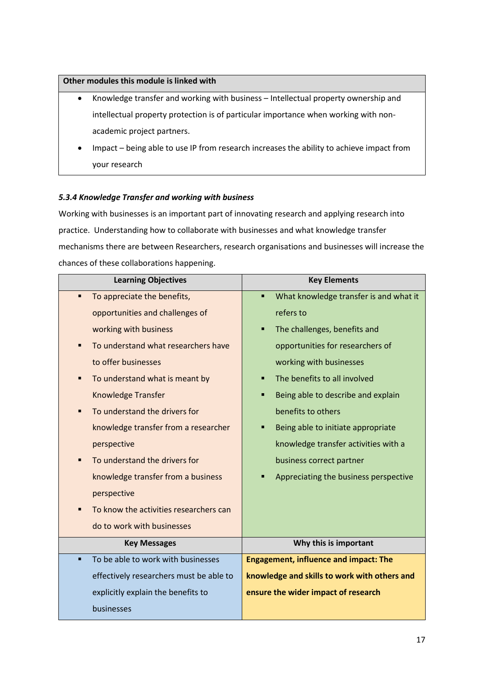- Knowledge transfer and working with business Intellectual property ownership and intellectual property protection is of particular importance when working with nonacademic project partners.
- Impact being able to use IP from research increases the ability to achieve impact from your research

# *5.3.4 Knowledge Transfer and working with business*

Working with businesses is an important part of innovating research and applying research into practice. Understanding how to collaborate with businesses and what knowledge transfer mechanisms there are between Researchers, research organisations and businesses will increase the chances of these collaborations happening.

| <b>Learning Objectives</b>                               | <b>Key Elements</b>                          |
|----------------------------------------------------------|----------------------------------------------|
| To appreciate the benefits,<br>$\blacksquare$            | What knowledge transfer is and what it<br>٠  |
| opportunities and challenges of                          | refers to                                    |
| working with business                                    | The challenges, benefits and                 |
| To understand what researchers have<br>$\blacksquare$    | opportunities for researchers of             |
| to offer businesses                                      | working with businesses                      |
| To understand what is meant by<br>$\blacksquare$         | The benefits to all involved                 |
| Knowledge Transfer                                       | Being able to describe and explain<br>п      |
| To understand the drivers for<br>$\blacksquare$          | benefits to others                           |
| knowledge transfer from a researcher                     | Being able to initiate appropriate           |
| perspective                                              | knowledge transfer activities with a         |
| To understand the drivers for<br>$\blacksquare$          | business correct partner                     |
| knowledge transfer from a business                       | Appreciating the business perspective        |
| perspective                                              |                                              |
| To know the activities researchers can<br>$\blacksquare$ |                                              |
| do to work with businesses                               |                                              |
| <b>Key Messages</b>                                      | Why this is important                        |
| To be able to work with businesses<br>$\blacksquare$     | <b>Engagement, influence and impact: The</b> |
| effectively researchers must be able to                  | knowledge and skills to work with others and |
| explicitly explain the benefits to                       | ensure the wider impact of research          |
| businesses                                               |                                              |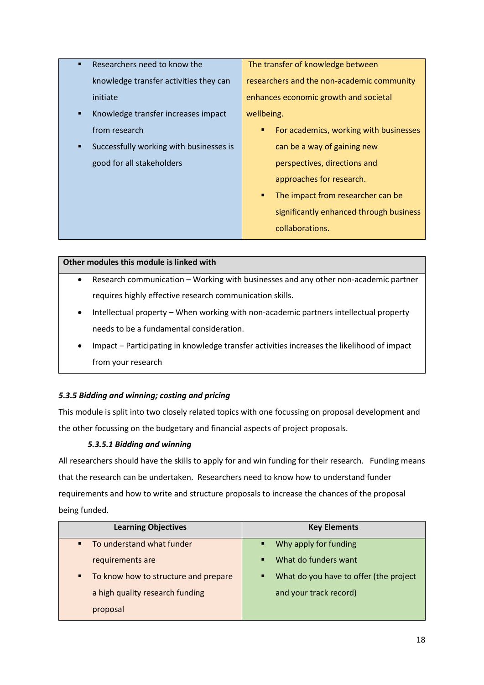- Researchers need to know the knowledge transfer activities they can initiate
- Knowledge transfer increases impact from research
- Successfully working with businesses is good for all stakeholders

The transfer of knowledge between researchers and the non-academic community enhances economic growth and societal wellbeing.

- For academics, working with businesses can be a way of gaining new perspectives, directions and approaches for research.
- The impact from researcher can be significantly enhanced through business collaborations.

# **Other modules this module is linked with**

- Research communication Working with businesses and any other non-academic partner requires highly effective research communication skills.
- Intellectual property When working with non-academic partners intellectual property needs to be a fundamental consideration.
- Impact Participating in knowledge transfer activities increases the likelihood of impact from your research

# *5.3.5 Bidding and winning; costing and pricing*

This module is split into two closely related topics with one focussing on proposal development and the other focussing on the budgetary and financial aspects of project proposals.

# *5.3.5.1 Bidding and winning*

All researchers should have the skills to apply for and win funding for their research. Funding means that the research can be undertaken. Researchers need to know how to understand funder requirements and how to write and structure proposals to increase the chances of the proposal being funded.

| <b>Learning Objectives</b>                | <b>Key Elements</b>                         |
|-------------------------------------------|---------------------------------------------|
| To understand what funder                 | Why apply for funding<br>п                  |
| requirements are                          | What do funders want<br>$\blacksquare$      |
| To know how to structure and prepare<br>٠ | What do you have to offer (the project<br>٠ |
| a high quality research funding           | and your track record)                      |
| proposal                                  |                                             |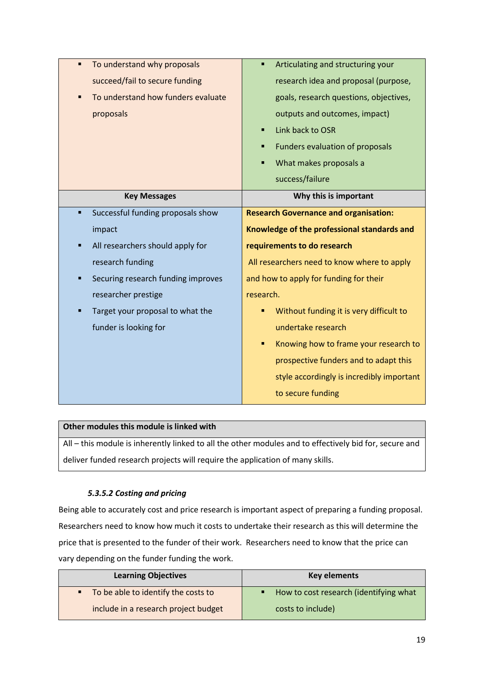| To understand why proposals<br>٠                     | Articulating and structuring your<br>п       |
|------------------------------------------------------|----------------------------------------------|
| succeed/fail to secure funding                       | research idea and proposal (purpose,         |
| To understand how funders evaluate<br>$\blacksquare$ | goals, research questions, objectives,       |
| proposals                                            | outputs and outcomes, impact)                |
|                                                      | Link back to OSR<br>п                        |
|                                                      | Funders evaluation of proposals<br>п         |
|                                                      | What makes proposals a<br>п                  |
|                                                      | success/failure                              |
| <b>Key Messages</b>                                  | Why this is important                        |
| Successful funding proposals show<br>٠               | <b>Research Governance and organisation:</b> |
| impact                                               | Knowledge of the professional standards and  |
| All researchers should apply for<br>Ξ                | requirements to do research                  |
| research funding                                     | All researchers need to know where to apply  |
| Securing research funding improves                   | and how to apply for funding for their       |
| researcher prestige                                  | research.                                    |
| Target your proposal to what the<br>Ξ                | Without funding it is very difficult to      |
| funder is looking for                                | undertake research                           |
|                                                      | Knowing how to frame your research to        |
|                                                      | prospective funders and to adapt this        |
|                                                      | style accordingly is incredibly important    |
|                                                      | to secure funding                            |

All – this module is inherently linked to all the other modules and to effectively bid for, secure and deliver funded research projects will require the application of many skills.

# *5.3.5.2 Costing and pricing*

Being able to accurately cost and price research is important aspect of preparing a funding proposal. Researchers need to know how much it costs to undertake their research as this will determine the price that is presented to the funder of their work. Researchers need to know that the price can vary depending on the funder funding the work.

| <b>Learning Objectives</b>           | <b>Key elements</b>                    |  |
|--------------------------------------|----------------------------------------|--|
| To be able to identify the costs to  | How to cost research (identifying what |  |
| include in a research project budget | costs to include)                      |  |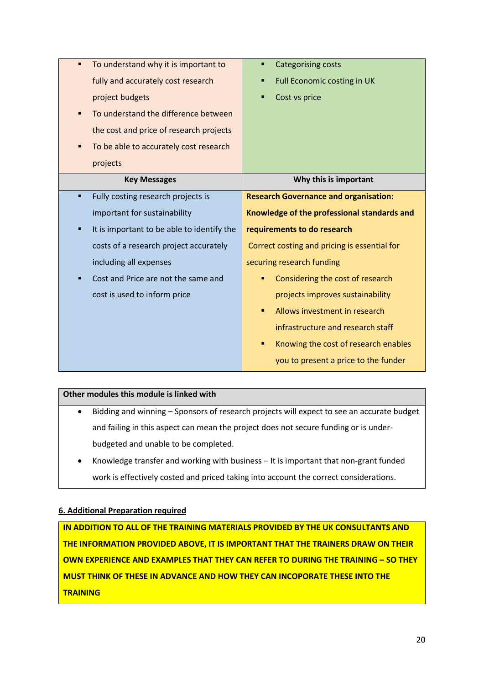| To understand why it is important to<br>$\blacksquare$ | <b>Categorising costs</b><br>п               |  |
|--------------------------------------------------------|----------------------------------------------|--|
| fully and accurately cost research                     | Full Economic costing in UK                  |  |
| project budgets                                        | Cost vs price                                |  |
| To understand the difference between<br>Ξ              |                                              |  |
| the cost and price of research projects                |                                              |  |
| To be able to accurately cost research                 |                                              |  |
| projects                                               |                                              |  |
| <b>Key Messages</b>                                    | Why this is important                        |  |
| Fully costing research projects is                     | <b>Research Governance and organisation:</b> |  |
| important for sustainability                           | Knowledge of the professional standards and  |  |
| It is important to be able to identify the<br>٠        | requirements to do research                  |  |
| costs of a research project accurately                 | Correct costing and pricing is essential for |  |
| including all expenses                                 | securing research funding                    |  |
| Cost and Price are not the same and                    | Considering the cost of research             |  |
| cost is used to inform price                           | projects improves sustainability             |  |
|                                                        | Allows investment in research<br>п           |  |
|                                                        | infrastructure and research staff            |  |
|                                                        | Knowing the cost of research enables<br>٠    |  |
|                                                        | you to present a price to the funder         |  |

- Bidding and winning Sponsors of research projects will expect to see an accurate budget and failing in this aspect can mean the project does not secure funding or is underbudgeted and unable to be completed.
- Knowledge transfer and working with business It is important that non-grant funded work is effectively costed and priced taking into account the correct considerations.

#### **6. Additional Preparation required**

**IN ADDITION TO ALL OF THE TRAINING MATERIALS PROVIDED BY THE UK CONSULTANTS AND THE INFORMATION PROVIDED ABOVE, IT IS IMPORTANT THAT THE TRAINERS DRAW ON THEIR OWN EXPERIENCE AND EXAMPLES THAT THEY CAN REFER TO DURING THE TRAINING – SO THEY MUST THINK OF THESE IN ADVANCE AND HOW THEY CAN INCOPORATE THESE INTO THE TRAINING**